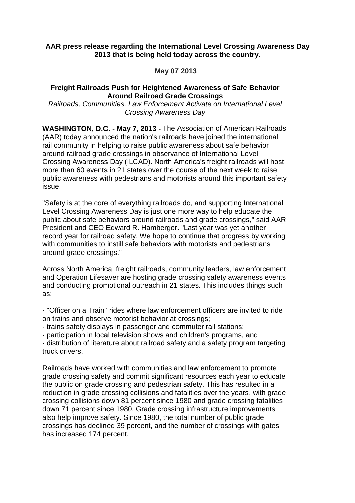## **AAR press release regarding the International Level Crossing Awareness Day 2013 that is being held today across the country.**

**May 07 2013** 

## **Freight Railroads Push for Heightened Awareness of Safe Behavior Around Railroad Grade Crossings**

Railroads, Communities, Law Enforcement Activate on International Level Crossing Awareness Day

**WASHINGTON, D.C. - May 7, 2013 -** The Association of American Railroads (AAR) today announced the nation's railroads have joined the international rail community in helping to raise public awareness about safe behavior around railroad grade crossings in observance of International Level Crossing Awareness Day (ILCAD). North America's freight railroads will host more than 60 events in 21 states over the course of the next week to raise public awareness with pedestrians and motorists around this important safety issue.

"Safety is at the core of everything railroads do, and supporting International Level Crossing Awareness Day is just one more way to help educate the public about safe behaviors around railroads and grade crossings," said AAR President and CEO Edward R. Hamberger. "Last year was yet another record year for railroad safety. We hope to continue that progress by working with communities to instill safe behaviors with motorists and pedestrians around grade crossings."

Across North America, freight railroads, community leaders, law enforcement and Operation Lifesaver are hosting grade crossing safety awareness events and conducting promotional outreach in 21 states. This includes things such as:

· "Officer on a Train" rides where law enforcement officers are invited to ride on trains and observe motorist behavior at crossings;

· trains safety displays in passenger and commuter rail stations;

· participation in local television shows and children's programs, and

· distribution of literature about railroad safety and a safety program targeting truck drivers.

Railroads have worked with communities and law enforcement to promote grade crossing safety and commit significant resources each year to educate the public on grade crossing and pedestrian safety. This has resulted in a reduction in grade crossing collisions and fatalities over the years, with grade crossing collisions down 81 percent since 1980 and grade crossing fatalities down 71 percent since 1980. Grade crossing infrastructure improvements also help improve safety. Since 1980, the total number of public grade crossings has declined 39 percent, and the number of crossings with gates has increased 174 percent.